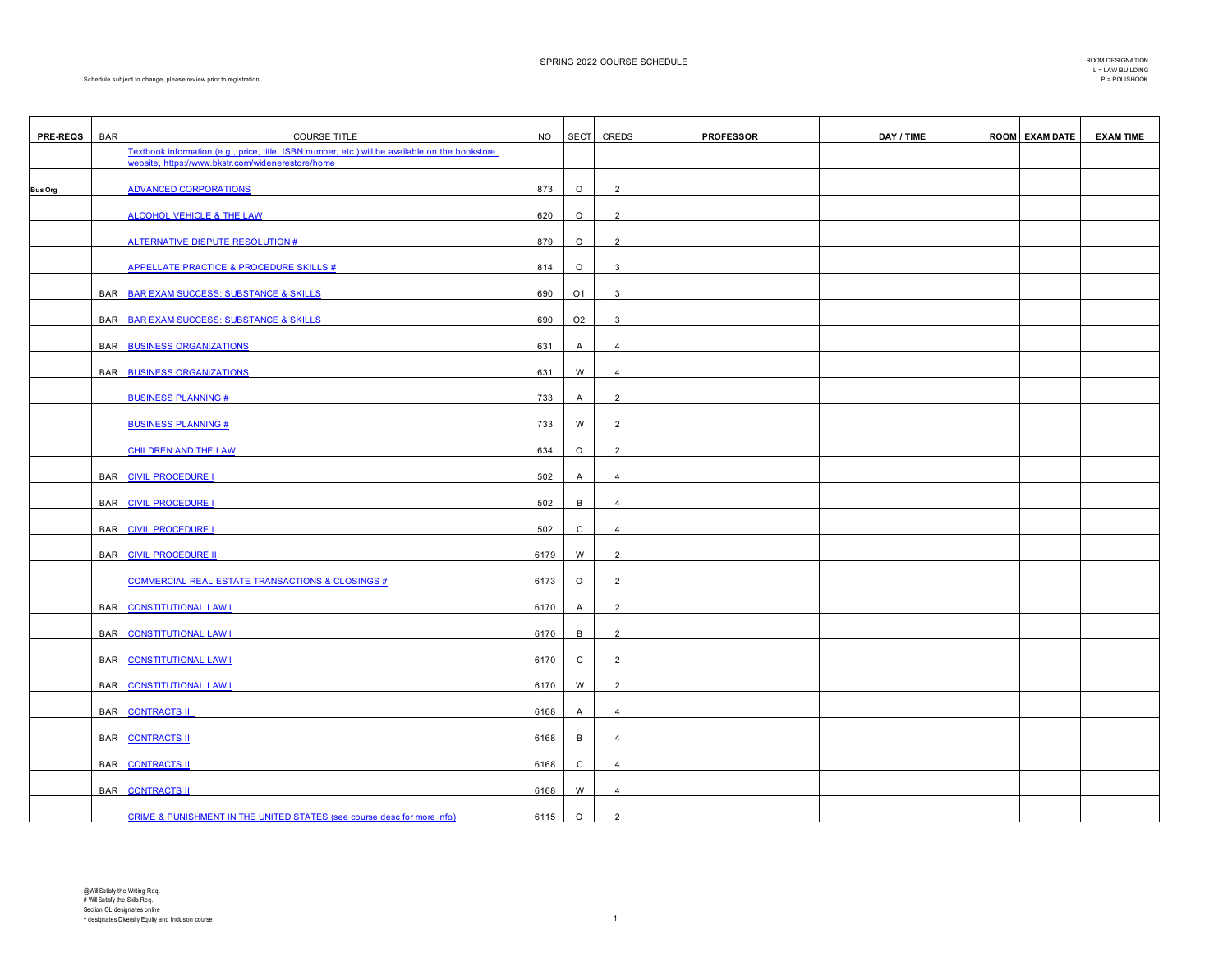Schedule subject to change, please review prior to registration

 $\Gamma$ 

| <b>PRE-REQS</b> | <b>BAR</b> | <b>COURSE TITLE</b>                                                                                                                                  | <b>NO</b> | <b>SECT</b>    | CREDS          | <b>PROFESSOR</b> | DAY / TIME | <b>ROOM EXAM DATE</b> | <b>EXAM TIME</b> |
|-----------------|------------|------------------------------------------------------------------------------------------------------------------------------------------------------|-----------|----------------|----------------|------------------|------------|-----------------------|------------------|
|                 |            | Textbook information (e.g., price, title, ISBN number, etc.) will be available on the bookstore<br>website, https://www.bkstr.com/widenerestore/home |           |                |                |                  |            |                       |                  |
| <b>Bus Org</b>  |            | <b>ADVANCED CORPORATIONS</b>                                                                                                                         | 873       | $\circ$        | $\overline{2}$ |                  |            |                       |                  |
|                 |            | ALCOHOL VEHICLE & THE LAW                                                                                                                            | 620       | $\circ$        | $\overline{2}$ |                  |            |                       |                  |
|                 |            | ALTERNATIVE DISPUTE RESOLUTION #                                                                                                                     | 879       | $\circ$        | 2              |                  |            |                       |                  |
|                 |            | APPELLATE PRACTICE & PROCEDURE SKILLS #                                                                                                              | 814       | $\circ$        | 3              |                  |            |                       |                  |
|                 | <b>BAR</b> | <b>BAR EXAM SUCCESS: SUBSTANCE &amp; SKILLS</b>                                                                                                      | 690       | O1             | 3              |                  |            |                       |                  |
|                 |            |                                                                                                                                                      |           |                |                |                  |            |                       |                  |
|                 |            | BAR BAR EXAM SUCCESS: SUBSTANCE & SKILLS                                                                                                             | 690       | O <sub>2</sub> | 3              |                  |            |                       |                  |
|                 | BAR        | <b>BUSINESS ORGANIZATIONS</b>                                                                                                                        | 631       | A              | $\overline{4}$ |                  |            |                       |                  |
|                 |            | <b>BAR BUSINESS ORGANIZATIONS</b>                                                                                                                    | 631       | W              | $\overline{4}$ |                  |            |                       |                  |
|                 |            | <b>BUSINESS PLANNING#</b>                                                                                                                            | 733       | A              | $\overline{2}$ |                  |            |                       |                  |
|                 |            | <b>BUSINESS PLANNING #</b>                                                                                                                           | 733       | W              | 2              |                  |            |                       |                  |
|                 |            | <b>CHILDREN AND THE LAW</b>                                                                                                                          | 634       | $\circ$        | $\overline{2}$ |                  |            |                       |                  |
|                 |            | BAR CIVIL PROCEDURE I                                                                                                                                | 502       | A              | $\overline{4}$ |                  |            |                       |                  |
|                 |            | BAR CIVIL PROCEDURE I                                                                                                                                | 502       | В              | $\overline{4}$ |                  |            |                       |                  |
|                 |            | BAR CIVIL PROCEDURE I                                                                                                                                | 502       | C              | $\overline{4}$ |                  |            |                       |                  |
|                 |            | BAR CIVIL PROCEDURE II                                                                                                                               | 6179      | W              | $\overline{2}$ |                  |            |                       |                  |
|                 |            | <b>COMMERCIAL REAL ESTATE TRANSACTIONS &amp; CLOSINGS #</b>                                                                                          | 6173      | $\circ$        | 2              |                  |            |                       |                  |
|                 |            | BAR CONSTITUTIONAL LAW I                                                                                                                             | 6170      | A              | $\overline{2}$ |                  |            |                       |                  |
|                 |            | BAR CONSTITUTIONAL LAW !                                                                                                                             | 6170      | $\overline{B}$ | 2              |                  |            |                       |                  |
|                 |            | BAR CONSTITUTIONAL LAW I                                                                                                                             | 6170      | C              | $\overline{2}$ |                  |            |                       |                  |
|                 |            | BAR CONSTITUTIONAL LAW I                                                                                                                             | 6170      | W              | 2              |                  |            |                       |                  |
|                 |            | BAR CONTRACTS II                                                                                                                                     | 6168      | A              | $\overline{4}$ |                  |            |                       |                  |
|                 |            | BAR CONTRACTS II                                                                                                                                     | 6168      | B              | $\overline{4}$ |                  |            |                       |                  |
|                 |            | <b>BAR CONTRACTS II</b>                                                                                                                              | 6168      | C              | $\overline{4}$ |                  |            |                       |                  |
|                 |            | BAR CONTRACTS II                                                                                                                                     | 6168      | W              | $\overline{4}$ |                  |            |                       |                  |
|                 |            | CRIME & PUNISHMENT IN THE UNITED STATES (see course desc for more info)                                                                              | 6115      | $\circ$        | $\overline{2}$ |                  |            |                       |                  |

┑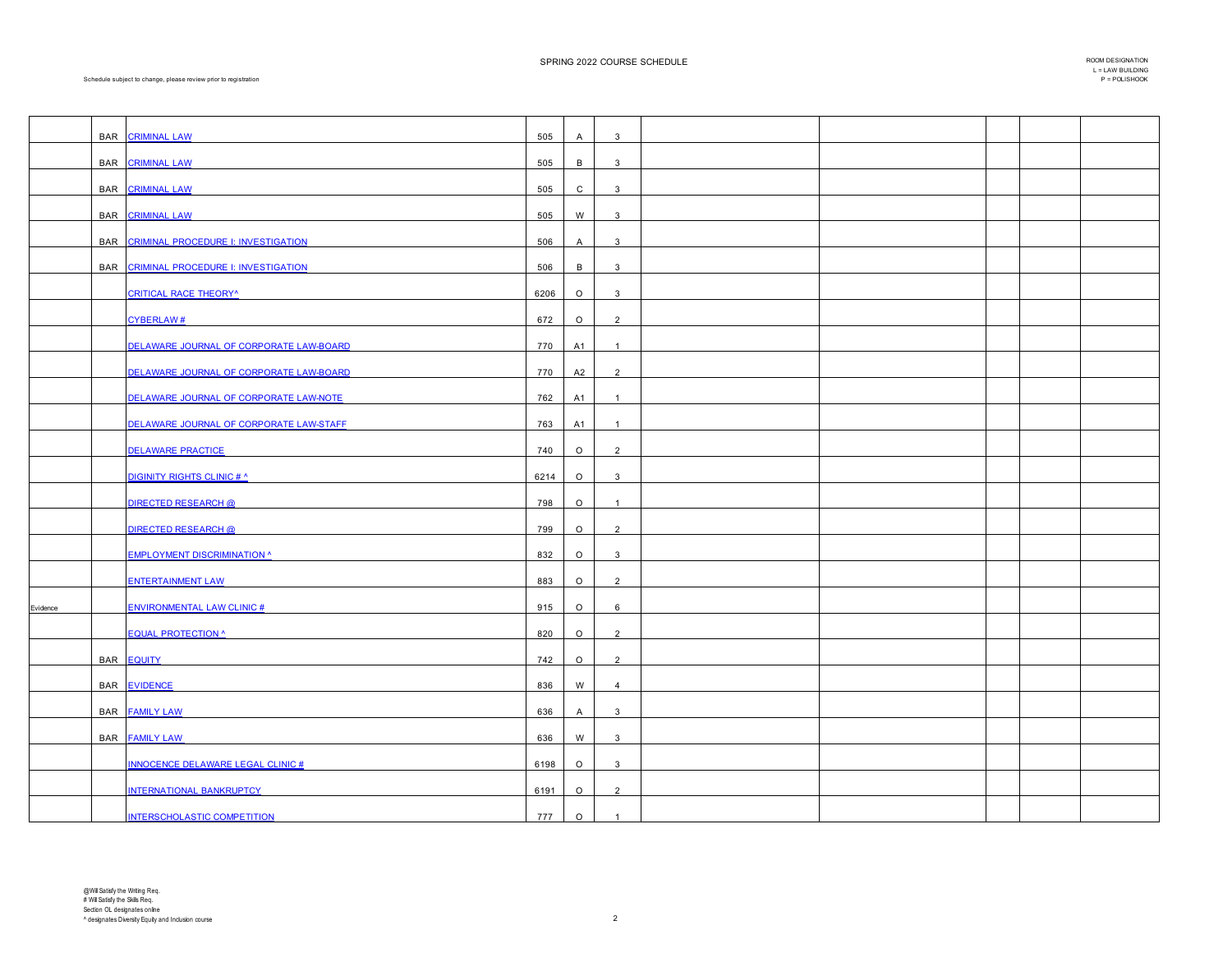|          |     | <b>BAR CRIMINAL LAW</b>                  | 505  | Α            | $\overline{3}$          |  |  |  |
|----------|-----|------------------------------------------|------|--------------|-------------------------|--|--|--|
|          |     | BAR CRIMINAL LAW                         | 505  | В            | $\overline{3}$          |  |  |  |
|          |     | BAR CRIMINAL LAW                         | 505  | $\mathsf{C}$ | $\mathbf{3}$            |  |  |  |
|          |     | BAR CRIMINAL LAW                         | 505  | W            | $\mathbf{3}$            |  |  |  |
|          |     |                                          |      |              |                         |  |  |  |
|          |     | BAR CRIMINAL PROCEDURE I: INVESTIGATION  | 506  | A            | $\mathbf{3}$            |  |  |  |
|          |     | BAR CRIMINAL PROCEDURE I: INVESTIGATION  | 506  | В            | 3                       |  |  |  |
|          |     | <b>CRITICAL RACE THEORY</b> <sup>^</sup> | 6206 | $\circ$      | $\overline{\mathbf{3}}$ |  |  |  |
|          |     | <b>CYBERLAW#</b>                         | 672  | $\circ$      | $\overline{2}$          |  |  |  |
|          |     | DELAWARE JOURNAL OF CORPORATE LAW-BOARD  | 770  | A1           | $\overline{1}$          |  |  |  |
|          |     | DELAWARE JOURNAL OF CORPORATE LAW-BOARD  | 770  | A2           | $\overline{2}$          |  |  |  |
|          |     | DELAWARE JOURNAL OF CORPORATE LAW-NOTE   | 762  | A1           | $\overline{1}$          |  |  |  |
|          |     | DELAWARE JOURNAL OF CORPORATE LAW-STAFF  | 763  | A1           | $\overline{1}$          |  |  |  |
|          |     | <b>DELAWARE PRACTICE</b>                 | 740  | $\circ$      | $\overline{2}$          |  |  |  |
|          |     | <b>DIGINITY RIGHTS CLINIC # ^</b>        | 6214 | $\circ$      | $\overline{3}$          |  |  |  |
|          |     | <b>DIRECTED RESEARCH @</b>               | 798  | $\circ$      |                         |  |  |  |
|          |     | <b>DIRECTED RESEARCH @</b>               | 799  | $\circ$      | $\overline{2}$          |  |  |  |
|          |     | <b>EMPLOYMENT DISCRIMINATION ^</b>       | 832  | $\circ$      | $\overline{3}$          |  |  |  |
|          |     |                                          |      |              |                         |  |  |  |
|          |     | <b>ENTERTAINMENT LAW</b>                 | 883  | $\circ$      | $\overline{2}$          |  |  |  |
| Evidence |     | <b>ENVIRONMENTAL LAW CLINIC#</b>         | 915  | $\circ$      | 6                       |  |  |  |
|          |     | <b>EQUAL PROTECTION ^</b>                | 820  | $\circ$      | $\overline{2}$          |  |  |  |
|          |     | BAR <b>EQUITY</b>                        | 742  | $\circ$      | $\overline{2}$          |  |  |  |
|          | BAR | <b>EVIDENCE</b>                          | 836  | W            | $\overline{4}$          |  |  |  |
|          |     | BAR <b>FAMILY LAW</b>                    | 636  | Α            | $\mathbf{3}$            |  |  |  |
|          |     | BAR <b>FAMILY LAW</b>                    | 636  | W            | $\overline{3}$          |  |  |  |
|          |     | <b>INNOCENCE DELAWARE LEGAL CLINIC#</b>  | 6198 | $\circ$      | $\overline{3}$          |  |  |  |
|          |     | INTERNATIONAL BANKRUPTCY                 | 6191 | $\circ$      | $\overline{2}$          |  |  |  |
|          |     |                                          |      |              |                         |  |  |  |
|          |     | <b>INTERSCHOLASTIC COMPETITION</b>       | 777  | $\circ$      | $\overline{1}$          |  |  |  |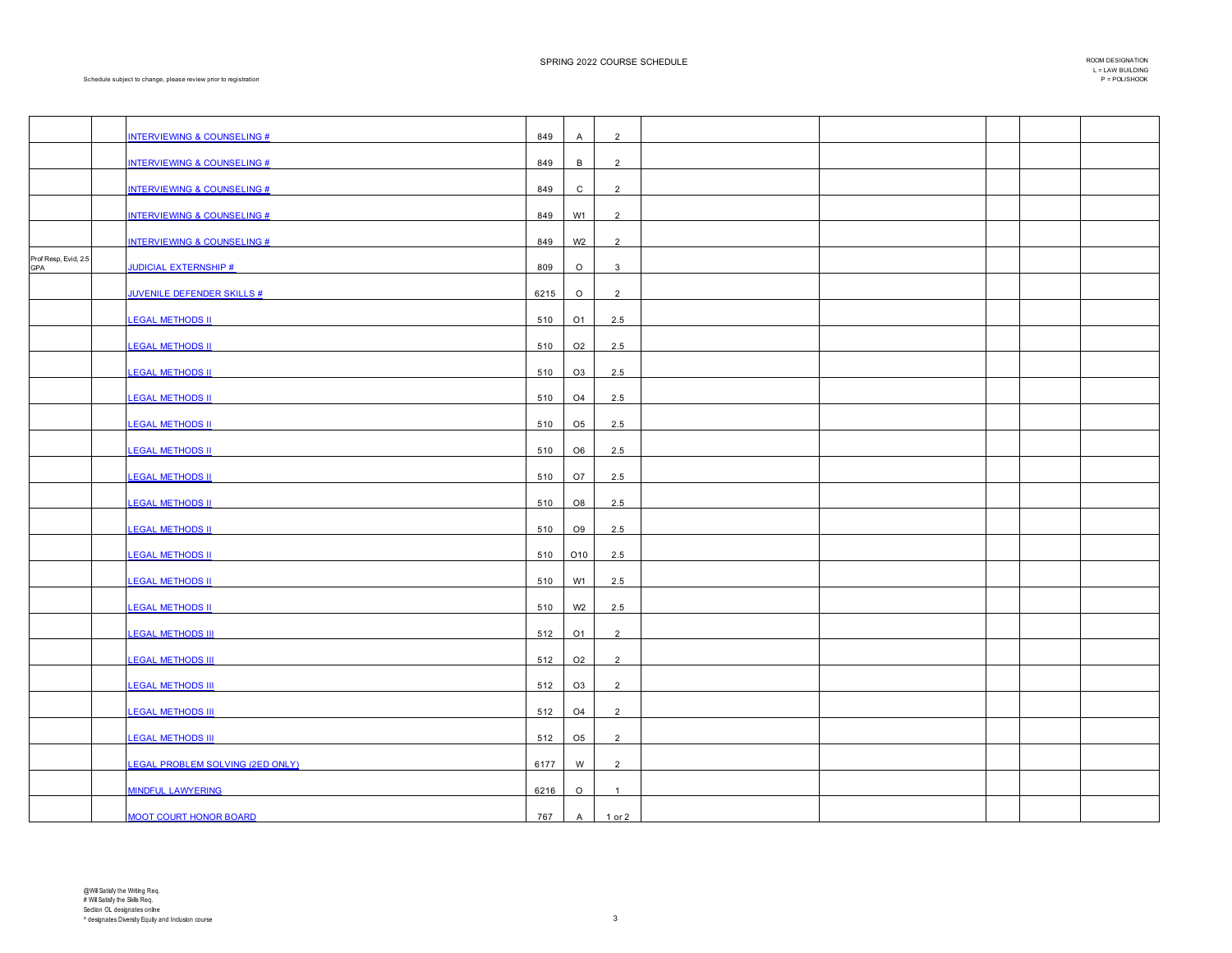|                      | <b>INTERVIEWING &amp; COUNSELING #</b>  | 849  | A              | $\overline{2}$ |  |  |  |
|----------------------|-----------------------------------------|------|----------------|----------------|--|--|--|
|                      | <b>INTERVIEWING &amp; COUNSELING #</b>  | 849  | B              | $\overline{2}$ |  |  |  |
|                      |                                         |      |                |                |  |  |  |
|                      | <b>INTERVIEWING &amp; COUNSELING #</b>  | 849  | $\mathsf{C}$   | $\overline{2}$ |  |  |  |
|                      | <b>INTERVIEWING &amp; COUNSELING #</b>  | 849  | W1             | $\overline{2}$ |  |  |  |
|                      | <b>INTERVIEWING &amp; COUNSELING #</b>  | 849  | W <sub>2</sub> | $\overline{2}$ |  |  |  |
| Prof Resp, Evid, 2.5 |                                         |      |                |                |  |  |  |
| GPA                  | <b>JUDICIAL EXTERNSHIP #</b>            | 809  | $\circ$        | $\mathbf{3}$   |  |  |  |
|                      | <b>JUVENILE DEFENDER SKILLS #</b>       | 6215 | $\circ$        | $\overline{2}$ |  |  |  |
|                      | <b>LEGAL METHODS II</b>                 | 510  | O <sub>1</sub> | 2.5            |  |  |  |
|                      | <b>LEGAL METHODS II</b>                 | 510  | O <sub>2</sub> | 2.5            |  |  |  |
|                      | <b>LEGAL METHODS II</b>                 | 510  | O <sub>3</sub> | 2.5            |  |  |  |
|                      | <b>LEGAL METHODS II</b>                 | 510  | O <sub>4</sub> | 2.5            |  |  |  |
|                      | <b>LEGAL METHODS II</b>                 | 510  | O <sub>5</sub> | 2.5            |  |  |  |
|                      | <b>LEGAL METHODS II</b>                 | 510  | O <sub>6</sub> | 2.5            |  |  |  |
|                      | <b>LEGAL METHODS II</b>                 | 510  | O7             | 2.5            |  |  |  |
|                      | <b>LEGAL METHODS II</b>                 | 510  | O8             | 2.5            |  |  |  |
|                      | <b>LEGAL METHODS II</b>                 | 510  | O <sub>9</sub> | 2.5            |  |  |  |
|                      | <b>LEGAL METHODS II</b>                 | 510  | O10            | 2.5            |  |  |  |
|                      | <b>LEGAL METHODS II</b>                 | 510  | W1             | 2.5            |  |  |  |
|                      | <b>LEGAL METHODS II</b>                 | 510  | W <sub>2</sub> | 2.5            |  |  |  |
|                      |                                         |      |                |                |  |  |  |
|                      | <b>LEGAL METHODS III</b>                | 512  | O <sub>1</sub> | $\overline{2}$ |  |  |  |
|                      | <b>LEGAL METHODS III</b>                | 512  | O <sub>2</sub> | $\overline{2}$ |  |  |  |
|                      | <b>LEGAL METHODS III</b>                | 512  | O3             | $\overline{2}$ |  |  |  |
|                      | <b>LEGAL METHODS III</b>                | 512  | O <sub>4</sub> | $\overline{2}$ |  |  |  |
|                      | <b>LEGAL METHODS III</b>                | 512  | O <sub>5</sub> | $\overline{2}$ |  |  |  |
|                      | <b>LEGAL PROBLEM SOLVING (2ED ONLY)</b> | 6177 | W              | $\overline{2}$ |  |  |  |
|                      | <b>MINDFUL LAWYERING</b>                | 6216 | $\circ$        | $\overline{1}$ |  |  |  |
|                      | <b>MOOT COURT HONOR BOARD</b>           | 767  | $\overline{A}$ | 1 or 2         |  |  |  |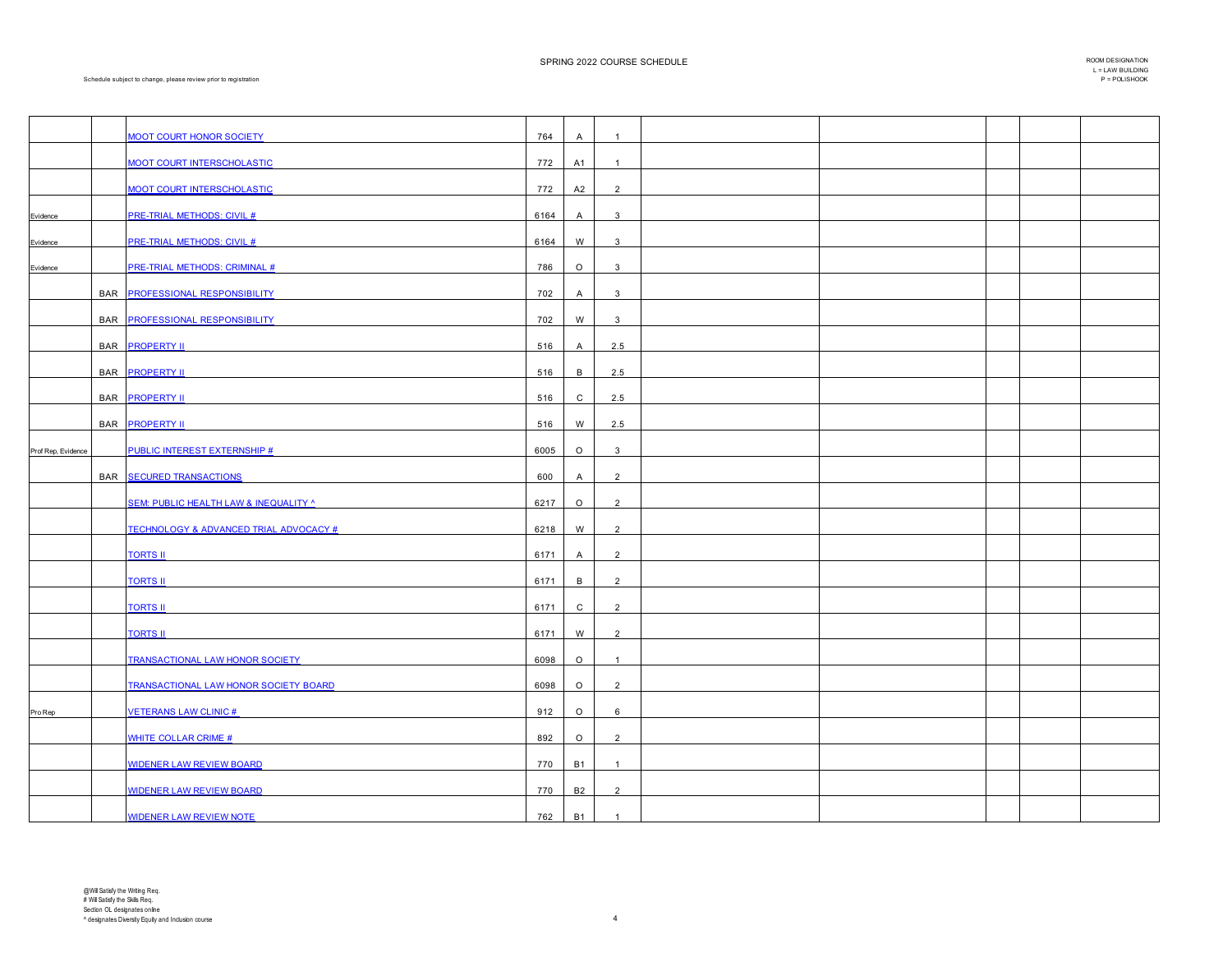|                    |            | <b>MOOT COURT HONOR SOCIETY</b>                   | 764  | $\mathsf{A}$   | $\overline{1}$ |  |  |  |
|--------------------|------------|---------------------------------------------------|------|----------------|----------------|--|--|--|
|                    |            |                                                   |      |                |                |  |  |  |
|                    |            | <b>MOOT COURT INTERSCHOLASTIC</b>                 | 772  | A1             | $\overline{1}$ |  |  |  |
|                    |            | <b>MOOT COURT INTERSCHOLASTIC</b>                 | 772  | A2             | $\overline{2}$ |  |  |  |
|                    |            |                                                   |      |                |                |  |  |  |
| Evidence           |            | <b>PRE-TRIAL METHODS: CIVIL #</b>                 | 6164 | $\mathsf{A}$   | 3              |  |  |  |
| Evidence           |            | <b>PRE-TRIAL METHODS: CIVIL #</b>                 | 6164 | W              | 3              |  |  |  |
| Evidence           |            | <b>PRE-TRIAL METHODS: CRIMINAL #</b>              | 786  | $\circ$        | $\mathbf{3}$   |  |  |  |
|                    |            |                                                   |      |                |                |  |  |  |
|                    | <b>BAR</b> | <b>PROFESSIONAL RESPONSIBILITY</b>                | 702  | $\overline{A}$ | 3              |  |  |  |
|                    |            | BAR PROFESSIONAL RESPONSIBILITY                   | 702  | W              | $\mathbf{3}$   |  |  |  |
|                    |            |                                                   |      |                |                |  |  |  |
|                    |            | BAR <b>PROPERTY II</b>                            | 516  | $\mathsf{A}$   | 2.5            |  |  |  |
|                    |            | BAR <b>PROPERTY II</b>                            | 516  | B              | 2.5            |  |  |  |
|                    |            | <b>BAR PROPERTY II</b>                            | 516  | $\mathsf{C}$   | 2.5            |  |  |  |
|                    |            |                                                   |      |                |                |  |  |  |
|                    |            | <b>BAR PROPERTY II</b>                            | 516  | W              | 2.5            |  |  |  |
| Prof Rep, Evidence |            | <b>PUBLIC INTEREST EXTERNSHIP #</b>               | 6005 | $\circ$        | $\mathbf{3}$   |  |  |  |
|                    |            |                                                   |      |                |                |  |  |  |
|                    | <b>BAR</b> | <b>SECURED TRANSACTIONS</b>                       | 600  | A              | 2              |  |  |  |
|                    |            | <b>SEM: PUBLIC HEALTH LAW &amp; INEQUALITY ^</b>  | 6217 | $\circ$        | $\overline{2}$ |  |  |  |
|                    |            |                                                   |      |                |                |  |  |  |
|                    |            | <b>TECHNOLOGY &amp; ADVANCED TRIAL ADVOCACY #</b> | 6218 | W              | 2              |  |  |  |
|                    |            | <b>TORTS II</b>                                   | 6171 | $\mathsf{A}$   | $\overline{2}$ |  |  |  |
|                    |            | <b>TORTS II</b>                                   | 6171 | $\mathsf{B}$   | $\overline{2}$ |  |  |  |
|                    |            |                                                   |      |                |                |  |  |  |
|                    |            | <b>TORTS II</b>                                   | 6171 | C              | 2              |  |  |  |
|                    |            | <b>TORTS II</b>                                   | 6171 | W              | $\overline{2}$ |  |  |  |
|                    |            |                                                   |      |                |                |  |  |  |
|                    |            | TRANSACTIONAL LAW HONOR SOCIETY                   | 6098 | $\circ$        | $\overline{1}$ |  |  |  |
|                    |            | <b>TRANSACTIONAL LAW HONOR SOCIETY BOARD</b>      | 6098 | $\circ$        | $\overline{2}$ |  |  |  |
|                    |            | <b>VETERANS LAW CLINIC #</b>                      | 912  | $\circ$        | 6              |  |  |  |
| Pro Rep            |            |                                                   |      |                |                |  |  |  |
|                    |            | <b>WHITE COLLAR CRIME #</b>                       | 892  | $\circ$        | $\overline{2}$ |  |  |  |
|                    |            | <b>WIDENER LAW REVIEW BOARD</b>                   | 770  | <b>B1</b>      | $\overline{1}$ |  |  |  |
|                    |            |                                                   |      |                |                |  |  |  |
|                    |            | <b>WIDENER LAW REVIEW BOARD</b>                   | 770  | <b>B2</b>      | $\overline{2}$ |  |  |  |
|                    |            | <b>WIDENER LAW REVIEW NOTE</b>                    | 762  | <b>B1</b>      | $\mathbf{1}$   |  |  |  |